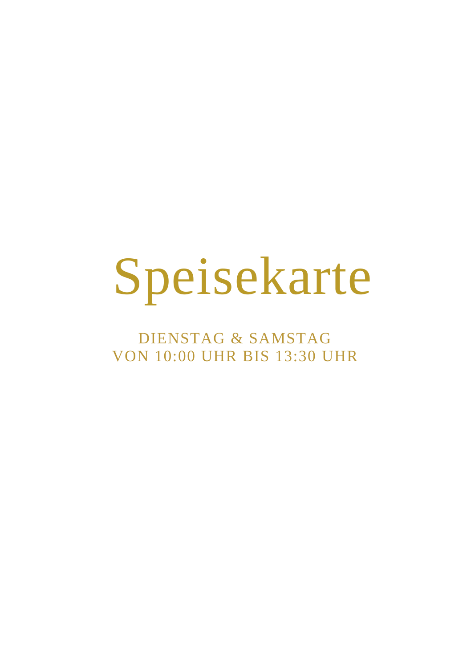# Speisekarte

DIENSTAG & SAMSTAG VON 10:00 UHR BIS 13:30 UHR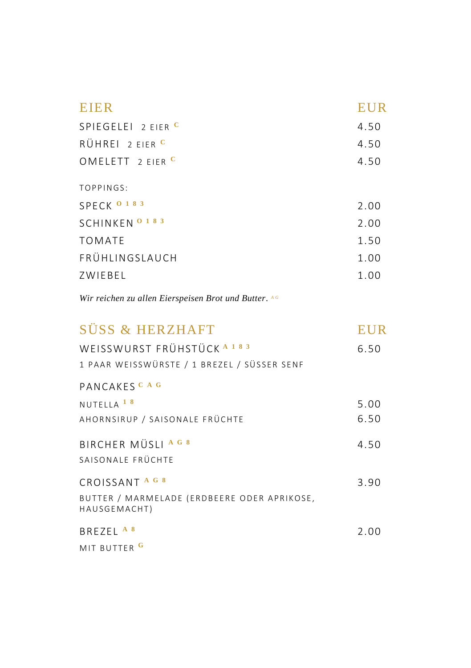| <b>EIER</b>          | <b>EUR</b> |
|----------------------|------------|
| SPIEGELEI $2$ FIFR C | 4.50       |
| RÜHREI 2 FIFR C      | 4.50       |
| OMELETT $2$ FIFR C   | 4.50       |
| TOPPINGS:            |            |
| SPECK 0 183          | 2.00       |
| SCHINKEN 0 1 8 3     | 2.00       |
| <b>TOMATE</b>        | 1.50       |
| FRÜHLINGSLAUCH       | 1.00       |
| ZWIEBEL              | 1.00       |
|                      |            |

| SÜSS & HERZHAFT                                                                     |      |
|-------------------------------------------------------------------------------------|------|
| WEISSWURST FRÜHSTÜCK <sup>A183</sup><br>1 PAAR WEISSWÜRSTE / 1 BREZEL / SÜSSER SENF | 6.50 |
| PANCAKES <sup>CAG</sup>                                                             |      |
| NUTELLA <sup>18</sup>                                                               | 5.00 |
| AHORNSIRUP / SAISONALE FRÜCHTE                                                      | 6.50 |
| BIRCHER MÜSLI A G 8                                                                 | 4.50 |
| SAISONALE FRÜCHTF                                                                   |      |
| CROISSANT <sup>AG8</sup>                                                            | 3.90 |
| BUTTER / MARMELADE (ERDBEERE ODER APRIKOSE,<br>HAUSGEMACHT)                         |      |
| BREZEL <sup>A8</sup>                                                                | 2.00 |
| MIT BUTTER G                                                                        |      |
|                                                                                     |      |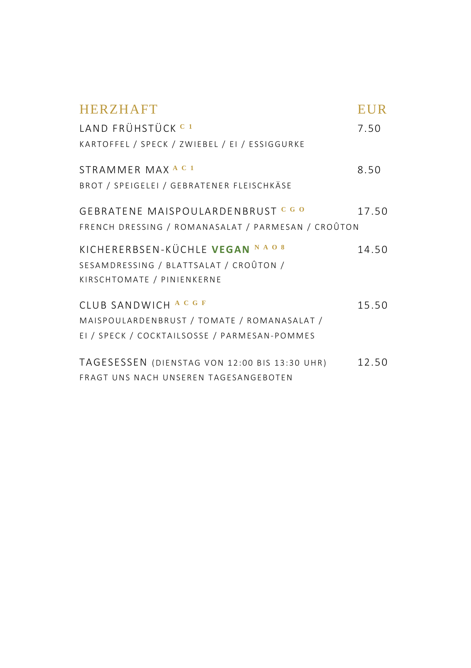| <b>HERZHAFT</b>                                    | <b>EUR</b> |
|----------------------------------------------------|------------|
| LAND FRÜHSTÜCK <sup>C1</sup>                       | 7.50       |
| KARTOFFEL / SPECK / ZWIEBEL / EI / ESSIGGURKE      |            |
| STRAMMER MAX <sup>AC1</sup>                        | 8.50       |
| BROT / SPEIGELEI / GEBRATENER FLEISCHKÄSE          |            |
| GEBRATENE MAISPOULARDENBRUST CGO                   | 17.50      |
| FRENCH DRESSING / ROMANASALAT / PARMESAN / CROÛTON |            |
| KICHERERBSEN-KÜCHLE VEGAN NAO 8                    | 14.50      |
| SESAMDRESSING / BLATTSALAT / CROÛTON /             |            |
| KIRSCHTOMATE / PINIENKERNE                         |            |
| CLUB SANDWICH A C G F                              | 15.50      |
| MAISPOULARDENBRUST / TOMATE / ROMANASALAT /        |            |
| EI / SPECK / COCKTAILSOSSE / PARMESAN-POMMES       |            |
| TAGESESSEN (DIENSTAG VON 12:00 BIS 13:30 UHR)      | 12.50      |
| FRAGT UNS NACH UNSEREN TAGESANGEBOTEN              |            |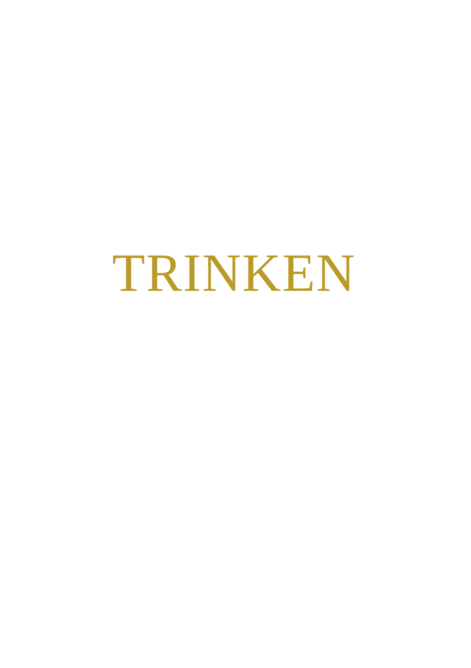## TRINKEN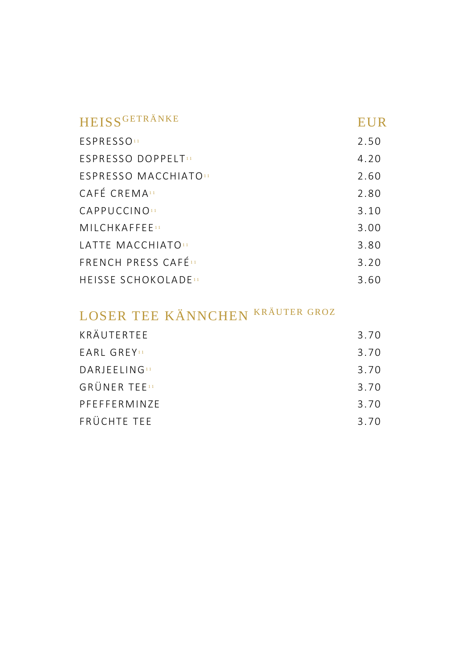| HEISSGETRÄNKE                          | EUR  |
|----------------------------------------|------|
| <b>ESPRESSO</b> 11                     | 2.50 |
| <b>FSPRESSO DOPPELT!!</b>              | 4.20 |
| <b>FSPRESSO MACCHIATOH</b>             | 2.60 |
| CAFÉ CREMA <sub>11</sub>               | 2.80 |
| CAPPUCCINO                             | 3.10 |
| <b>MILCHKAFFFF11</b>                   | 3.00 |
| LATTE MACCHIATO"                       | 3.80 |
| <b>FRENCH PRESS CAFÉH</b>              | 3.20 |
| <b>HEISSE SCHOKOLADE</b> <sup>11</sup> | 3.60 |

### LOSER TEE KÄNNCHEN KRÄUTER GROZ

| KRÄUTERTEE               | 3.70 |
|--------------------------|------|
| <b>EARL GREY</b>         | 3.70 |
| DARIEELING <sub>11</sub> | 3.70 |
| <b>GRÜNER TEE</b>        | 3.70 |
| <b>PFFFFFRMIN7F</b>      | 3.70 |
| FRÜCHTE TEE              | 3.70 |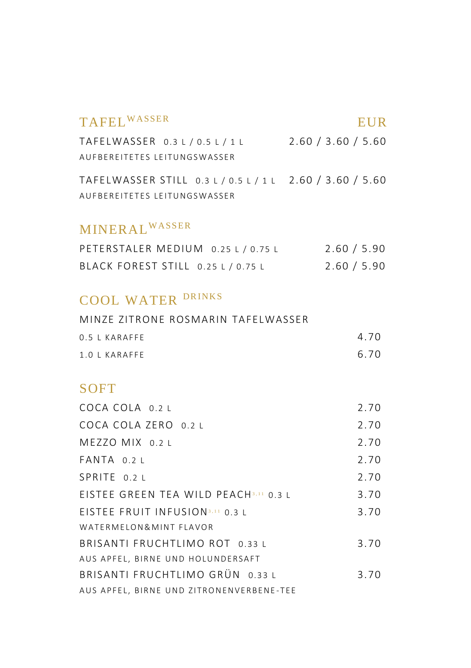#### TAFEL<sup>WASSER</sup> EUR

TAFELWASSER 0 .3 L / 0 .5 L / 1 L 2.60 / 3.60 / 5.60 A U F B E R E I T E T E S L E I T U N G S W A S S E R

TAFELWASSER STILL 0 .3 L / 0 .5 L / 1 L 2.60 / 3.60 / 5.60 A U F B E R E I T E T E S L E I T U N G S W A S S F R

#### MINERAL<sup>WASSER</sup>

| PETERSTALER MEDIUM 0.25 L / 0.75 L | 2.60 / 5.90 |
|------------------------------------|-------------|
| BLACK FOREST STILL 0.25 L / 0.75 L | 2.60 / 5.90 |

#### COOL WATER DRINKS

| MINZE ZITRONE ROSMARIN TAFELWASSER |      |
|------------------------------------|------|
| $0.5$   KARAFFF                    | 4.70 |
| $1.0$ I KARAFFF                    | 6.70 |

#### **SOFT**

| COCA COLA 0.2 L                          | 2.70 |
|------------------------------------------|------|
| COCA COLA ZERO 0.2 L                     | 2.70 |
| MEZZO MIX 0.2 L                          | 2.70 |
| $FANTA$ 0.2 $\vdash$                     | 2.70 |
| SPRITE 0.2 L                             | 2.70 |
| EISTEE GREEN TEA WILD PEACH3,11 0.3 1    | 3.70 |
| EISTEE FRUIT INFUSION3.11 0.3 1          | 3.70 |
| WATERMELON& MINT FLAVOR                  |      |
| BRISANTI FRUCHTLIMO ROT 0.33 L           | 3.70 |
| AUS APFEL, BIRNE UND HOLUNDERSAFT        |      |
| BRISANTI FRUCHTLIMO GRÜN 0.33 L          | 3.70 |
| AUS APFEL, BIRNE UND ZITRONENVERBENE-TEE |      |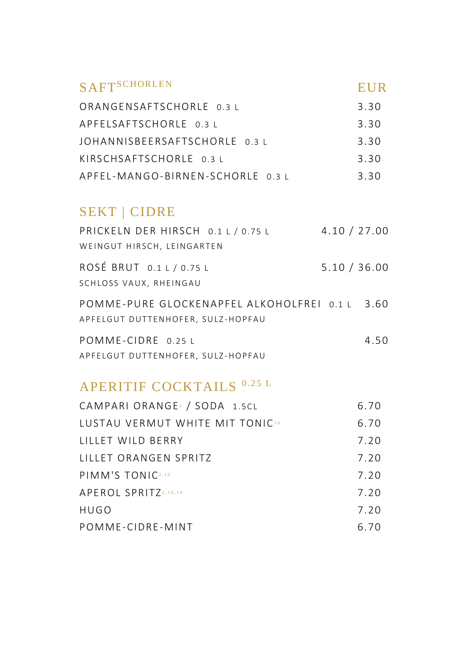### SAFT<sup>SCHORLEN</sup> EUR ORANGENSAFTSCHORLE 0.3 L 3.30 APFELSAFTSCHORLE 0.3 L 3.30 JOHANNISBEERSAFTSCHORLE 0.3 L 3.30 KIRSCHSAFTSCHORLE 0 3 L 3 30

|                                  | .    |
|----------------------------------|------|
| APFEL-MANGO-BIRNEN-SCHORLE 0.3 L | 3.30 |

#### SEKT | CIDRE

| PRICKELN DER HIRSCH 0.1 L / 0.75 L             | 4.10 / 27.00 |
|------------------------------------------------|--------------|
| WEINGUT HIRSCH, LEINGARTEN                     |              |
| ROSÉ BRUT 0.1 L / 0.75 L                       | 5.10 / 36.00 |
| SCHLOSS VAUX, RHEINGAU                         |              |
| POMME-PURE GLOCKENAPFEL ALKOHOLFREI 0.1 L 3.60 |              |
| APFELGUT DUTTENHOFER, SULZ-HOPFAU              |              |
| POMME-CIDRE 0.25 L                             | 4.50         |
| APFELGUT DUTTENHOFER, SULZ-HOPFAU              |              |

#### APERITIF COCKTAILS 0.25 L

| CAMPARI ORANGE <sup>2</sup> / SODA 1.5CL    | 6.70 |
|---------------------------------------------|------|
| LUSTAU VERMUT WHITE MIT TONIC <sup>10</sup> | 6.70 |
| LILLET WILD BERRY                           | 7.20 |
| LILLET ORANGEN SPRITZ                       | 7.20 |
| PIMM'S TONIC2,10                            | 7.20 |
| APEROL SPRITZ2,10,14                        | 7.20 |
| HUGO                                        | 7.20 |
| POMME-CIDRE-MINT                            | 6.70 |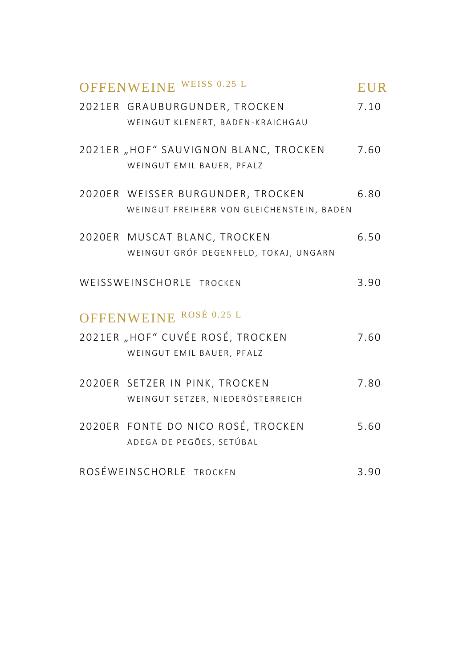| OFFENWEINE WEISS 0.25 L                                                        | <b>EUR</b> |
|--------------------------------------------------------------------------------|------------|
| 2021ER GRAUBURGUNDER, TROCKEN<br>WEINGUT KLENERT, BADEN-KRAICHGAU              | 7.10       |
| 2021ER, HOF" SAUVIGNON BLANC, TROCKEN<br>WEINGUT EMIL BAUER, PFALZ             | 7.60       |
| 2020ER WEISSER BURGUNDER, TROCKEN<br>WEINGUT FREIHERR VON GLEICHENSTEIN, BADEN | 6.80       |
| 2020ER MUSCAT BLANC, TROCKEN<br>WEINGUT GRÓF DEGENFELD, TOKAJ, UNGARN          | 6.50       |
| WEISSWEINSCHORLE TROCKEN                                                       | 3.90       |
| OFFENWEINE ROSÉ 0.25 L                                                         |            |
| 2021ER "HOF" CUVÉE ROSÉ, TROCKEN<br>WEINGUT EMIL BAUER, PFALZ                  | 7.60       |
| 2020ER SETZER IN PINK, TROCKEN<br>WEINGUT SETZER, NIEDERÖSTERREICH             | 7.80       |
| 2020ER FONTE DO NICO ROSÉ, TROCKEN<br>ADEGA DE PEGÕES, SETÚBAL                 | 5.60       |
| ROSÉWEINSCHORLE TROCKEN                                                        | 3.90       |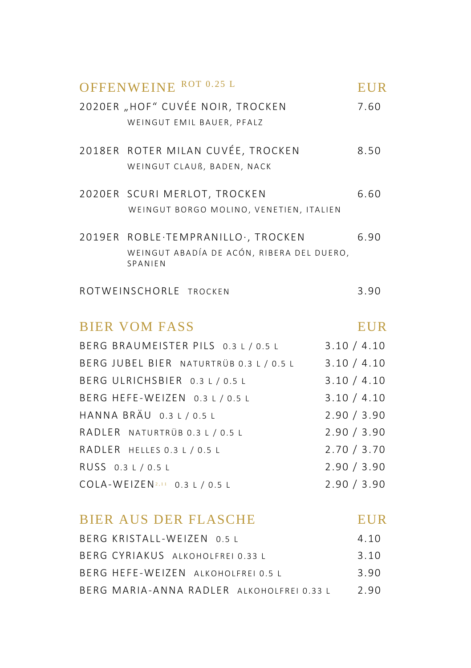|                    | OFFENWEINE ROT 0.25 L                                                                      | <b>EUR</b>  |
|--------------------|--------------------------------------------------------------------------------------------|-------------|
|                    | 2020ER "HOF" CUVÉE NOIR, TROCKEN<br>WEINGUT EMIL BAUER, PFALZ                              | 7.60        |
|                    | 2018ER ROTER MILAN CUVÉE, TROCKEN<br>WEINGUT CLAUß, BADEN, NACK                            | 8.50        |
|                    | 2020ER SCURI MERLOT, TROCKEN<br>WEINGUT BORGO MOLINO, VENETIEN, ITALIEN                    | 6.60        |
|                    | 2019ER ROBLE.TEMPRANILLO., TROCKEN<br>WEINGUT ABADÍA DE ACÓN, RIBERA DEL DUERO,<br>SPANIEN | 6.90        |
|                    | ROTWEINSCHORLE TROCKEN                                                                     | 3.90        |
|                    | <b>BIER VOM FASS</b>                                                                       | <b>EUR</b>  |
|                    | BERG BRAUMEISTER PILS 0.3 L / 0.5 L                                                        | 3.10 / 4.10 |
|                    | BERG JUBEL BIER NATURTRÜB 0.3 L / 0.5 L                                                    | 3.10 / 4.10 |
|                    | BERG ULRICHSBIER 0.3 L / 0.5 L                                                             | 3.10 / 4.10 |
|                    | BERG HEFE-WEIZEN 0.3 L / 0.5 L                                                             | 3.10 / 4.10 |
|                    | HANNA BRÄU 0.3 L / 0.5 L                                                                   | 2.90 / 3.90 |
|                    | RADLER NATURTRÜB 0.3 L / 0.5 L                                                             | 2.90 / 3.90 |
|                    | RADLER HELLES 0.3 L / 0.5 L                                                                | 2.70 / 3.70 |
| RUSS 0.3 L / 0.5 L |                                                                                            | 2.90 / 3.90 |
|                    | COLA-WEIZEN <sup>2,11</sup> 0.3 L / 0.5 L                                                  | 2.90 / 3.90 |
|                    | <b>BIER AUS DER FLASCHE</b>                                                                | <b>EUR</b>  |
|                    | BERG KRISTALL-WEIZEN 0.5 L                                                                 | 4.10        |
|                    | BERG CYRIAKUS ALKOHOLFREI 0.33 L                                                           | 3.10        |
|                    | BERG HEFE-WEIZEN ALKOHOLFREI 0.5 L                                                         | 3.90        |
|                    | BERG MARIA-ANNA RADLER ALKOHOLFREI 0.33 L                                                  | 2.90        |